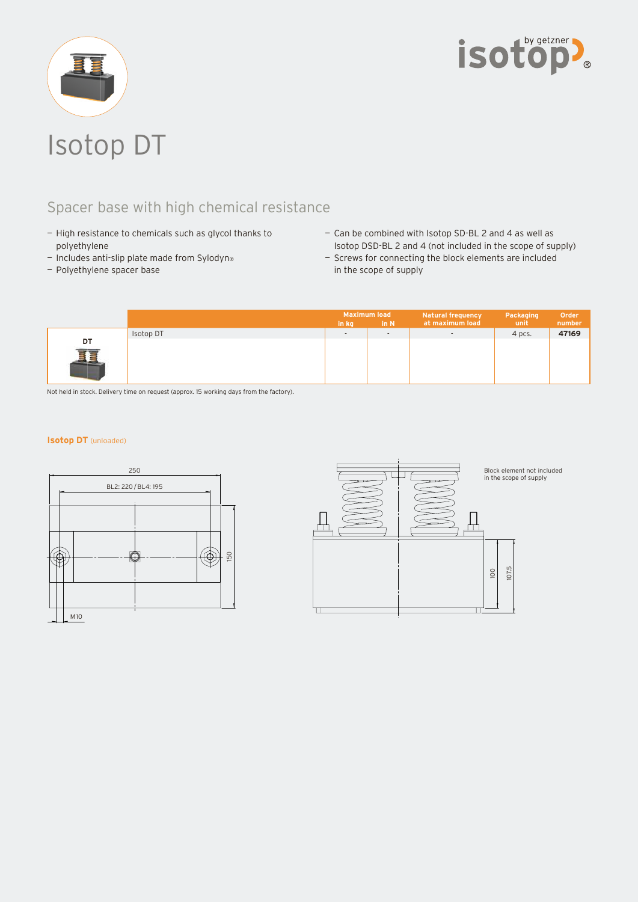



## Spacer base with high chemical resistance

- High resistance to chemicals such as glycol thanks to polyethylene
- $-$  Includes anti-slip plate made from Sylodyn<sup>®</sup>
- Polyethylene spacer base
- Can be combined with Isotop SD-BL 2 and 4 as well as Isotop DSD-BL 2 and 4 (not included in the scope of supply)
- Screws for connecting the block elements are included in the scope of supply

|         |           | <b>Maximum load</b><br>in N<br>in kg |                          | <b>Natural frequency</b><br>at maximum load | Packaging<br>unit | Order<br>number |
|---------|-----------|--------------------------------------|--------------------------|---------------------------------------------|-------------------|-----------------|
|         | Isotop DT | $\overline{\phantom{a}}$             | $\overline{\phantom{a}}$ | $\overline{\phantom{a}}$                    | 4 pcs.            | 47169           |
| DT<br>拒 |           |                                      |                          |                                             |                   |                 |

Not held in stock. Delivery time on request (approx. 15 working days from the factory).

## **Isotop DT** (unloaded)